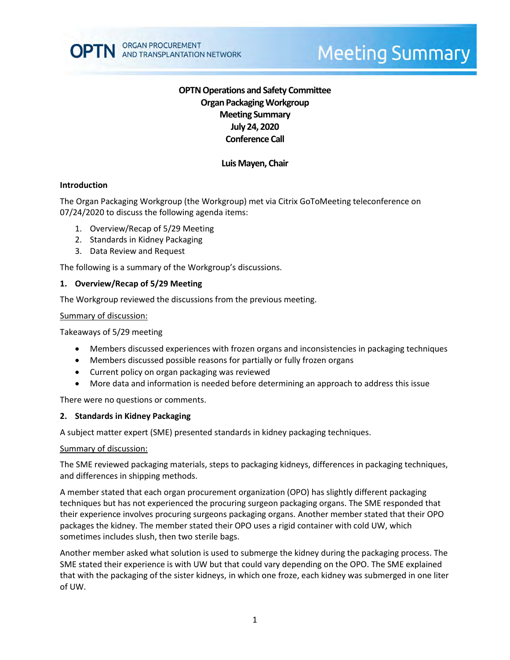

# **Meeting Summary**

## **OPTN Operations and Safety Committee Organ Packaging Workgroup Meeting Summary July 24, 2020 Conference Call**

## **Luis Mayen, Chair**

#### **Introduction**

The Organ Packaging Workgroup (the Workgroup) met via Citrix GoToMeeting teleconference on 07/24/2020 to discuss the following agenda items:

- 1. Overview/Recap of 5/29 Meeting
- 2. Standards in Kidney Packaging
- 3. Data Review and Request

The following is a summary of the Workgroup's discussions.

#### **1. Overview/Recap of 5/29 Meeting**

The Workgroup reviewed the discussions from the previous meeting.

#### Summary of discussion:

Takeaways of 5/29 meeting

- Members discussed experiences with frozen organs and inconsistencies in packaging techniques
- Members discussed possible reasons for partially or fully frozen organs
- Current policy on organ packaging was reviewed
- More data and information is needed before determining an approach to address this issue

There were no questions or comments.

#### **2. Standards in Kidney Packaging**

A subject matter expert (SME) presented standards in kidney packaging techniques.

#### Summary of discussion:

The SME reviewed packaging materials, steps to packaging kidneys, differences in packaging techniques, and differences in shipping methods.

A member stated that each organ procurement organization (OPO) has slightly different packaging techniques but has not experienced the procuring surgeon packaging organs. The SME responded that their experience involves procuring surgeons packaging organs. Another member stated that their OPO packages the kidney. The member stated their OPO uses a rigid container with cold UW, which sometimes includes slush, then two sterile bags.

Another member asked what solution is used to submerge the kidney during the packaging process. The SME stated their experience is with UW but that could vary depending on the OPO. The SME explained that with the packaging of the sister kidneys, in which one froze, each kidney was submerged in one liter of UW.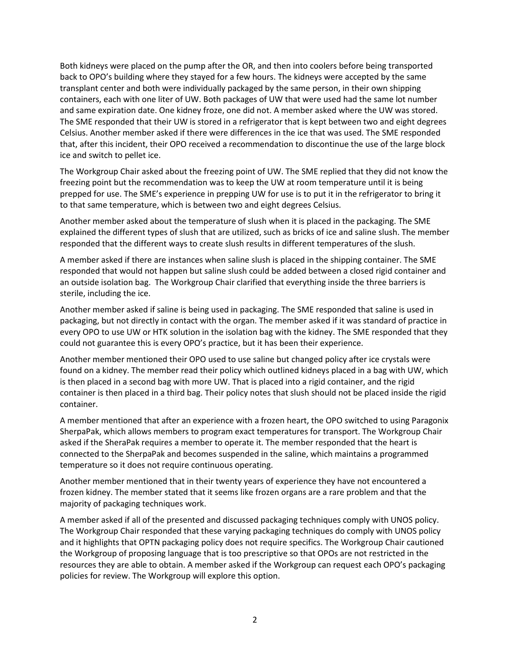Both kidneys were placed on the pump after the OR, and then into coolers before being transported back to OPO's building where they stayed for a few hours. The kidneys were accepted by the same transplant center and both were individually packaged by the same person, in their own shipping containers, each with one liter of UW. Both packages of UW that were used had the same lot number and same expiration date. One kidney froze, one did not. A member asked where the UW was stored. The SME responded that their UW is stored in a refrigerator that is kept between two and eight degrees Celsius. Another member asked if there were differences in the ice that was used. The SME responded that, after this incident, their OPO received a recommendation to discontinue the use of the large block ice and switch to pellet ice.

The Workgroup Chair asked about the freezing point of UW. The SME replied that they did not know the freezing point but the recommendation was to keep the UW at room temperature until it is being prepped for use. The SME's experience in prepping UW for use is to put it in the refrigerator to bring it to that same temperature, which is between two and eight degrees Celsius.

Another member asked about the temperature of slush when it is placed in the packaging. The SME explained the different types of slush that are utilized, such as bricks of ice and saline slush. The member responded that the different ways to create slush results in different temperatures of the slush.

A member asked if there are instances when saline slush is placed in the shipping container. The SME responded that would not happen but saline slush could be added between a closed rigid container and an outside isolation bag. The Workgroup Chair clarified that everything inside the three barriers is sterile, including the ice.

Another member asked if saline is being used in packaging. The SME responded that saline is used in packaging, but not directly in contact with the organ. The member asked if it was standard of practice in every OPO to use UW or HTK solution in the isolation bag with the kidney. The SME responded that they could not guarantee this is every OPO's practice, but it has been their experience.

Another member mentioned their OPO used to use saline but changed policy after ice crystals were found on a kidney. The member read their policy which outlined kidneys placed in a bag with UW, which is then placed in a second bag with more UW. That is placed into a rigid container, and the rigid container is then placed in a third bag. Their policy notes that slush should not be placed inside the rigid container.

A member mentioned that after an experience with a frozen heart, the OPO switched to using Paragonix SherpaPak, which allows members to program exact temperatures for transport. The Workgroup Chair asked if the SheraPak requires a member to operate it. The member responded that the heart is connected to the SherpaPak and becomes suspended in the saline, which maintains a programmed temperature so it does not require continuous operating.

Another member mentioned that in their twenty years of experience they have not encountered a frozen kidney. The member stated that it seems like frozen organs are a rare problem and that the majority of packaging techniques work.

A member asked if all of the presented and discussed packaging techniques comply with UNOS policy. The Workgroup Chair responded that these varying packaging techniques do comply with UNOS policy and it highlights that OPTN packaging policy does not require specifics. The Workgroup Chair cautioned the Workgroup of proposing language that is too prescriptive so that OPOs are not restricted in the resources they are able to obtain. A member asked if the Workgroup can request each OPO's packaging policies for review. The Workgroup will explore this option.